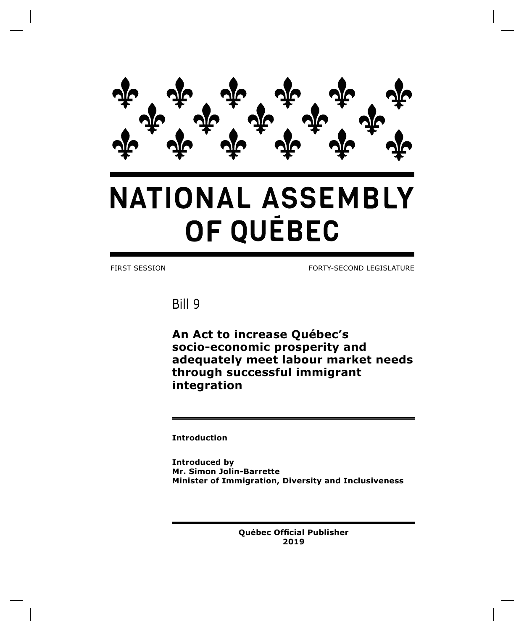

# **NATIONAL ASSEMBLY** OF QUÉBEC

FIRST SESSION FORTY-SECOND LEGISLATURE

Bill 9

**An Act to increase Québec's socio-economic prosperity and adequately meet labour market needs through successful immigrant integration**

**Introduction**

**Introduced by Mr. Simon Jolin-Barrette Minister of Immigration, Diversity and Inclusiveness**

> **Québec Official Publisher 2019**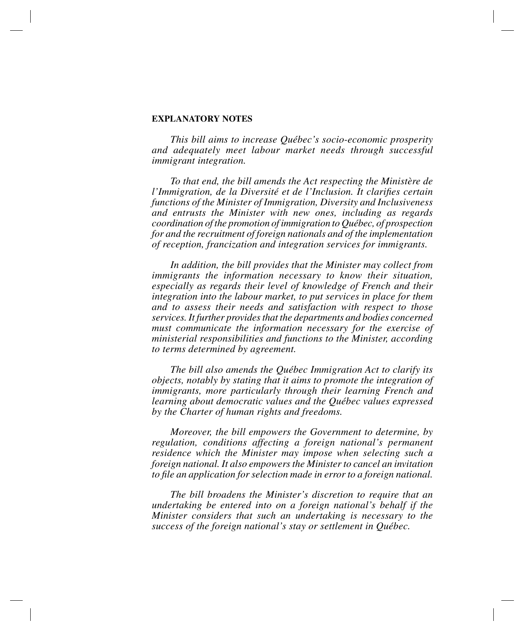# **EXPLANATORY NOTES**

*This bill aims to increase Québec's socio-economic prosperity and adequately meet labour market needs through successful immigrant integration.*

*To that end, the bill amends the Act respecting the Ministère de l'Immigration, de la Diversité et de l'Inclusion. It clarifies certain functions of the Minister of Immigration, Diversity and Inclusiveness and entrusts the Minister with new ones, including as regards coordination of the promotion of immigration to Québec, of prospection for and the recruitment of foreign nationals and of the implementation of reception, francization and integration services for immigrants.*

*In addition, the bill provides that the Minister may collect from immigrants the information necessary to know their situation, especially as regards their level of knowledge of French and their integration into the labour market, to put services in place for them and to assess their needs and satisfaction with respect to those services. It further provides that the departments and bodies concerned must communicate the information necessary for the exercise of ministerial responsibilities and functions to the Minister, according to terms determined by agreement.*

*The bill also amends the Québec Immigration Act to clarify its objects, notably by stating that it aims to promote the integration of immigrants, more particularly through their learning French and learning about democratic values and the Québec values expressed by the Charter of human rights and freedoms.*

*Moreover, the bill empowers the Government to determine, by regulation, conditions affecting a foreign national's permanent residence which the Minister may impose when selecting such a foreign national. It also empowers the Minister to cancel an invitation to file an application for selection made in error to a foreign national.*

*The bill broadens the Minister's discretion to require that an undertaking be entered into on a foreign national's behalf if the Minister considers that such an undertaking is necessary to the success of the foreign national's stay or settlement in Québec.*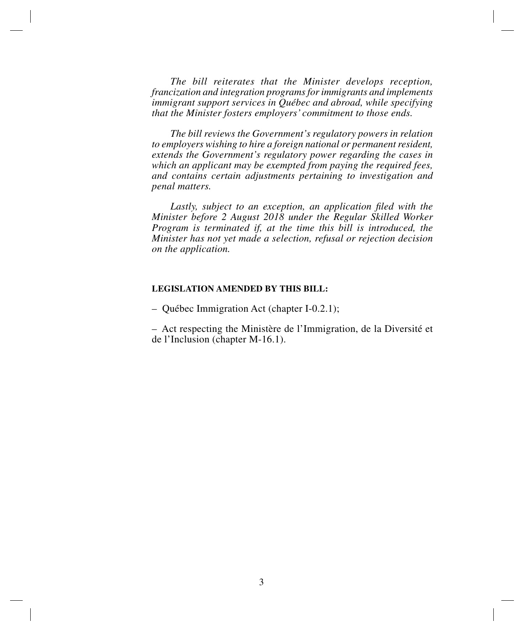*The bill reiterates that the Minister develops reception, francization and integration programs for immigrants and implements immigrant support services in Québec and abroad, while specifying that the Minister fosters employers' commitment to those ends.*

*The bill reviews the Government's regulatory powers in relation to employers wishing to hire a foreign national or permanent resident, extends the Government's regulatory power regarding the cases in which an applicant may be exempted from paying the required fees, and contains certain adjustments pertaining to investigation and penal matters.*

*Lastly, subject to an exception, an application filed with the Minister before 2 August 2018 under the Regular Skilled Worker Program is terminated if, at the time this bill is introduced, the Minister has not yet made a selection, refusal or rejection decision on the application.*

## **LEGISLATION AMENDED BY THIS BILL:**

– Québec Immigration Act (chapter I-0.2.1);

– Act respecting the Ministère de l'Immigration, de la Diversité et de l'Inclusion (chapter M-16.1).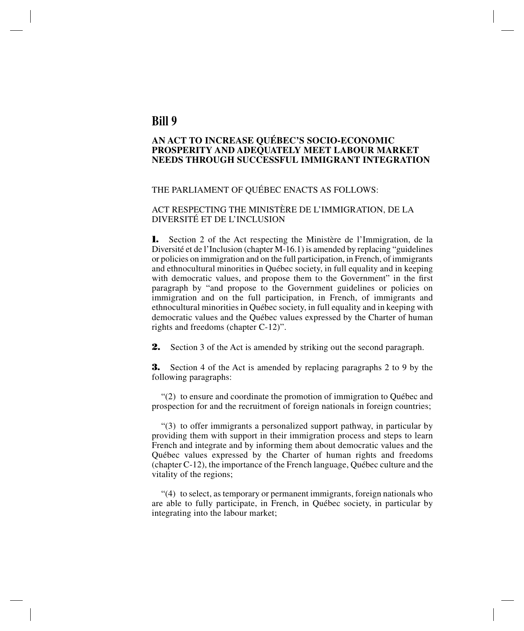# **Bill 9**

# **AN ACT TO INCREASE QUÉBEC'S SOCIO-ECONOMIC PROSPERITY AND ADEQUATELY MEET LABOUR MARKET NEEDS THROUGH SUCCESSFUL IMMIGRANT INTEGRATION**

#### THE PARLIAMENT OF QUÉBEC ENACTS AS FOLLOWS:

### ACT RESPECTING THE MINISTÈRE DE L'IMMIGRATION, DE LA DIVERSITÉ ET DE L'INCLUSION

**1.** Section 2 of the Act respecting the Ministère de l'Immigration, de la Diversité et de l'Inclusion (chapter M-16.1) is amended by replacing "guidelines or policies on immigration and on the full participation, in French, of immigrants and ethnocultural minorities in Québec society, in full equality and in keeping with democratic values, and propose them to the Government" in the first paragraph by "and propose to the Government guidelines or policies on immigration and on the full participation, in French, of immigrants and ethnocultural minorities in Québec society, in full equality and in keeping with democratic values and the Québec values expressed by the Charter of human rights and freedoms (chapter C-12)".

**2.** Section 3 of the Act is amended by striking out the second paragraph.

**3.** Section 4 of the Act is amended by replacing paragraphs 2 to 9 by the following paragraphs:

"(2) to ensure and coordinate the promotion of immigration to Québec and prospection for and the recruitment of foreign nationals in foreign countries;

"(3) to offer immigrants a personalized support pathway, in particular by providing them with support in their immigration process and steps to learn French and integrate and by informing them about democratic values and the Québec values expressed by the Charter of human rights and freedoms (chapter C-12), the importance of the French language, Québec culture and the vitality of the regions;

"(4) to select, as temporary or permanent immigrants, foreign nationals who are able to fully participate, in French, in Québec society, in particular by integrating into the labour market;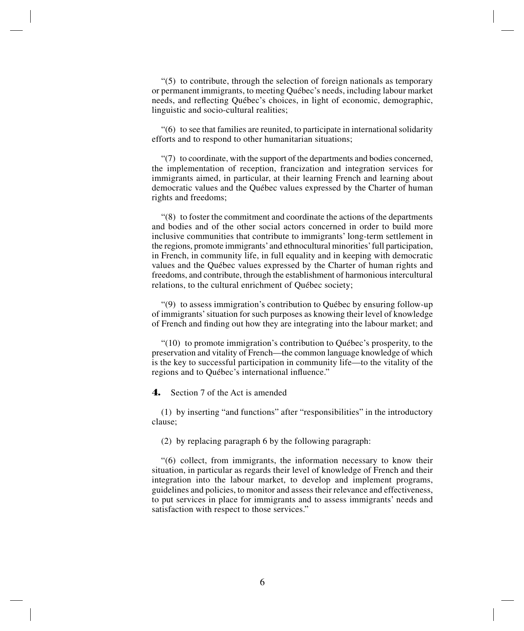$(5)$  to contribute, through the selection of foreign nationals as temporary or permanent immigrants, to meeting Québec's needs, including labour market needs, and reflecting Québec's choices, in light of economic, demographic, linguistic and socio-cultural realities;

"(6) to see that families are reunited, to participate in international solidarity efforts and to respond to other humanitarian situations;

"(7) to coordinate, with the support of the departments and bodies concerned, the implementation of reception, francization and integration services for immigrants aimed, in particular, at their learning French and learning about democratic values and the Québec values expressed by the Charter of human rights and freedoms;

"(8) to foster the commitment and coordinate the actions of the departments and bodies and of the other social actors concerned in order to build more inclusive communities that contribute to immigrants' long-term settlement in the regions, promote immigrants' and ethnocultural minorities' full participation, in French, in community life, in full equality and in keeping with democratic values and the Québec values expressed by the Charter of human rights and freedoms, and contribute, through the establishment of harmonious intercultural relations, to the cultural enrichment of Québec society;

"(9) to assess immigration's contribution to Québec by ensuring follow-up of immigrants' situation for such purposes as knowing their level of knowledge of French and finding out how they are integrating into the labour market; and

"(10) to promote immigration's contribution to Québec's prosperity, to the preservation and vitality of French—the common language knowledge of which is the key to successful participation in community life—to the vitality of the regions and to Québec's international influence."

**4.** Section 7 of the Act is amended

(1) by inserting "and functions" after "responsibilities" in the introductory clause;

(2) by replacing paragraph 6 by the following paragraph:

"(6) collect, from immigrants, the information necessary to know their situation, in particular as regards their level of knowledge of French and their integration into the labour market, to develop and implement programs, guidelines and policies, to monitor and assess their relevance and effectiveness, to put services in place for immigrants and to assess immigrants' needs and satisfaction with respect to those services."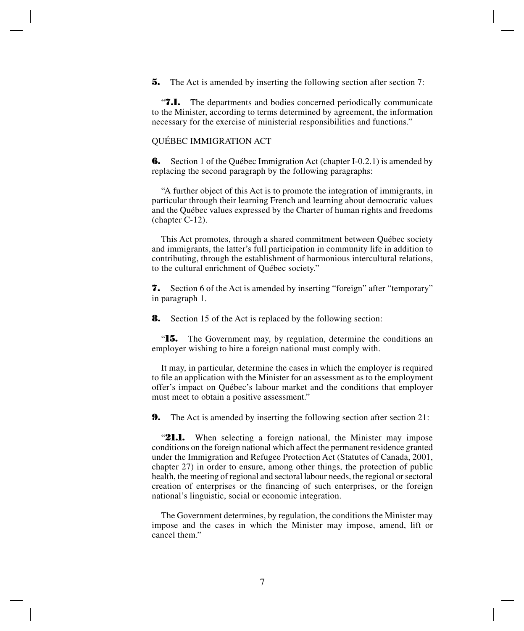**5.** The Act is amended by inserting the following section after section 7:

"**7.1.** The departments and bodies concerned periodically communicate to the Minister, according to terms determined by agreement, the information necessary for the exercise of ministerial responsibilities and functions."

#### QUÉBEC IMMIGRATION ACT

**6.** Section 1 of the Québec Immigration Act (chapter I-0.2.1) is amended by replacing the second paragraph by the following paragraphs:

"A further object of this Act is to promote the integration of immigrants, in particular through their learning French and learning about democratic values and the Québec values expressed by the Charter of human rights and freedoms (chapter C-12).

This Act promotes, through a shared commitment between Québec society and immigrants, the latter's full participation in community life in addition to contributing, through the establishment of harmonious intercultural relations, to the cultural enrichment of Québec society."

**7.** Section 6 of the Act is amended by inserting "foreign" after "temporary" in paragraph 1.

**8.** Section 15 of the Act is replaced by the following section:

"**15.** The Government may, by regulation, determine the conditions an employer wishing to hire a foreign national must comply with.

It may, in particular, determine the cases in which the employer is required to file an application with the Minister for an assessment as to the employment offer's impact on Québec's labour market and the conditions that employer must meet to obtain a positive assessment."

**9.** The Act is amended by inserting the following section after section 21:

"**21.1.** When selecting a foreign national, the Minister may impose conditions on the foreign national which affect the permanent residence granted under the Immigration and Refugee Protection Act (Statutes of Canada, 2001, chapter 27) in order to ensure, among other things, the protection of public health, the meeting of regional and sectoral labour needs, the regional or sectoral creation of enterprises or the financing of such enterprises, or the foreign national's linguistic, social or economic integration.

The Government determines, by regulation, the conditions the Minister may impose and the cases in which the Minister may impose, amend, lift or cancel them."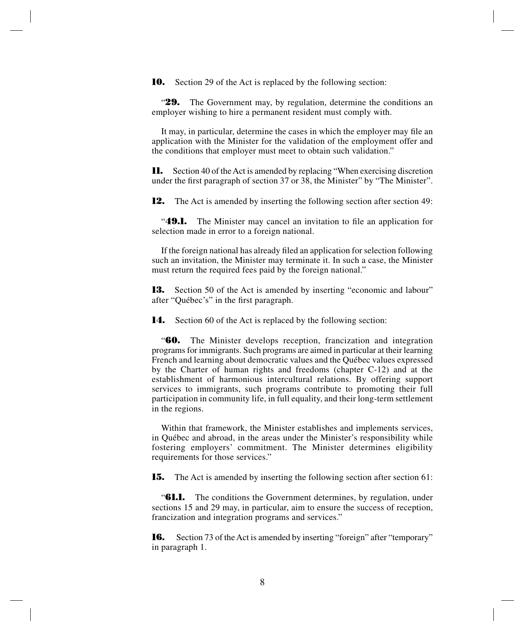**10.** Section 29 of the Act is replaced by the following section:

"**29.** The Government may, by regulation, determine the conditions an employer wishing to hire a permanent resident must comply with.

It may, in particular, determine the cases in which the employer may file an application with the Minister for the validation of the employment offer and the conditions that employer must meet to obtain such validation."

**11.** Section 40 of the Act is amended by replacing "When exercising discretion under the first paragraph of section 37 or 38, the Minister" by "The Minister".

**12.** The Act is amended by inserting the following section after section 49:

"**49.1.** The Minister may cancel an invitation to file an application for selection made in error to a foreign national.

If the foreign national has already filed an application for selection following such an invitation, the Minister may terminate it. In such a case, the Minister must return the required fees paid by the foreign national."

**13.** Section 50 of the Act is amended by inserting "economic and labour" after "Québec's" in the first paragraph.

**14.** Section 60 of the Act is replaced by the following section:

"**60.** The Minister develops reception, francization and integration programs for immigrants. Such programs are aimed in particular at their learning French and learning about democratic values and the Québec values expressed by the Charter of human rights and freedoms (chapter C-12) and at the establishment of harmonious intercultural relations. By offering support services to immigrants, such programs contribute to promoting their full participation in community life, in full equality, and their long-term settlement in the regions.

Within that framework, the Minister establishes and implements services, in Québec and abroad, in the areas under the Minister's responsibility while fostering employers' commitment. The Minister determines eligibility requirements for those services."

**15.** The Act is amended by inserting the following section after section 61:

**"61.1.** The conditions the Government determines, by regulation, under sections 15 and 29 may, in particular, aim to ensure the success of reception, francization and integration programs and services."

**16.** Section 73 of the Act is amended by inserting "foreign" after "temporary" in paragraph 1.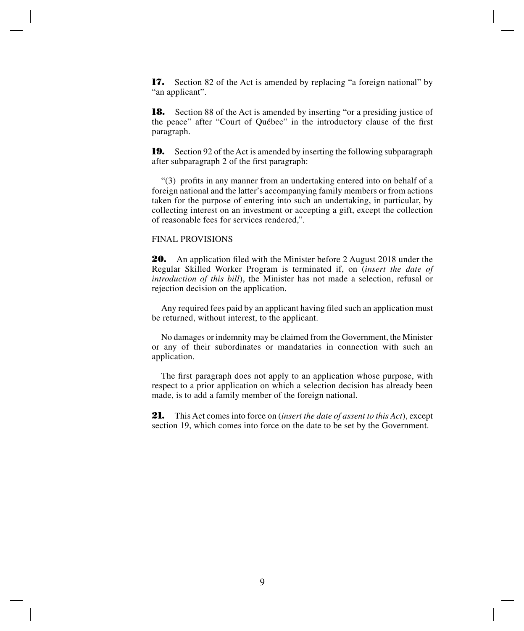**17.** Section 82 of the Act is amended by replacing "a foreign national" by "an applicant".

**18.** Section 88 of the Act is amended by inserting "or a presiding justice of the peace" after "Court of Québec" in the introductory clause of the first paragraph.

**19.** Section 92 of the Act is amended by inserting the following subparagraph after subparagraph 2 of the first paragraph:

"(3) profits in any manner from an undertaking entered into on behalf of a foreign national and the latter's accompanying family members or from actions taken for the purpose of entering into such an undertaking, in particular, by collecting interest on an investment or accepting a gift, except the collection of reasonable fees for services rendered,".

#### FINAL PROVISIONS

**20.** An application filed with the Minister before 2 August 2018 under the Regular Skilled Worker Program is terminated if, on (*insert the date of introduction of this bill*), the Minister has not made a selection, refusal or rejection decision on the application.

Any required fees paid by an applicant having filed such an application must be returned, without interest, to the applicant.

No damages or indemnity may be claimed from the Government, the Minister or any of their subordinates or mandataries in connection with such an application.

The first paragraph does not apply to an application whose purpose, with respect to a prior application on which a selection decision has already been made, is to add a family member of the foreign national.

**21.** This Act comes into force on (*insert the date of assent to this Act*), except section 19, which comes into force on the date to be set by the Government.